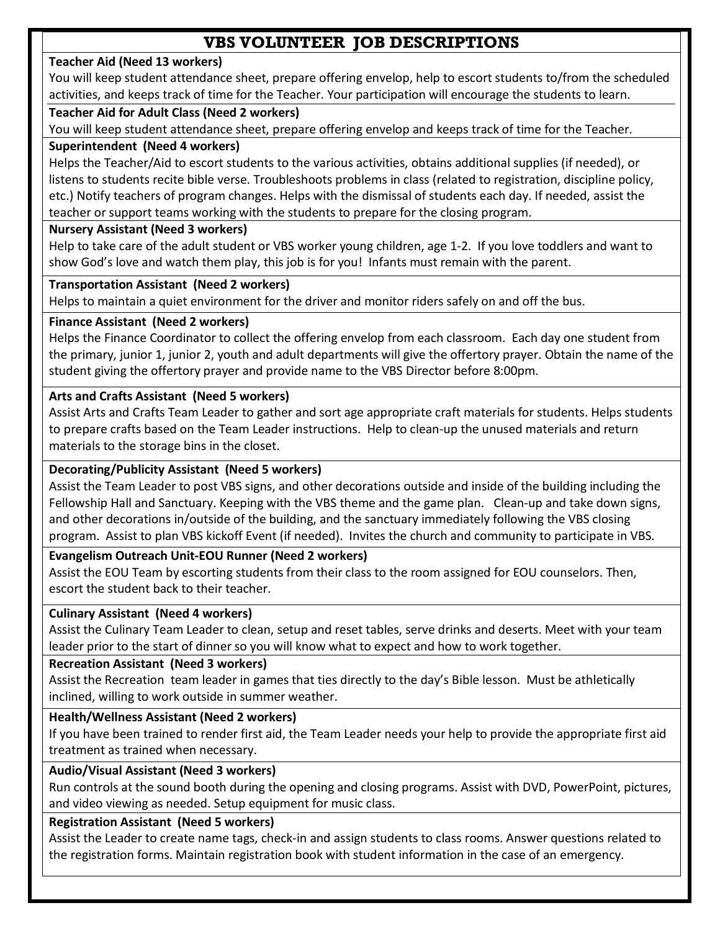# **VBS VOLUNTEER JOB DESCRIPTIONS**

### **Teacher Aid (Need 13 workers)**

You will keep student attendance sheet, prepare offering envelop, help to escort students to/from the scheduled activities, and keeps track of time for the Teacher. Your participation will encourage the students to learn.

## **Teacher Aid for Adult Class (Need 2 workers)**

You will keep student attendance sheet, prepare offering envelop and keeps track of time for the Teacher.

### **Superintendent (Need 4 workers)**

Helps the Teacher/Aid to escort students to the various activities, obtains additional supplies (if needed), or listens to students recite bible verse. Troubleshoots problems in class (related to registration, discipline policy, etc.) Notify teachers of program changes. Helps with the dismissal of students each day. If needed, assist the teacher or support teams working with the students to prepare for the closing program.

## **Nursery Assistant (Need 3 workers)**

Help to take care of the adult student or VBS worker young children, age 1-2. If you love toddlers and want to show God's love and watch them play, this job is for you! Infants must remain with the parent.

## **Transportation Assistant (Need 2 workers)**

Helps to maintain a quiet environment for the driver and monitor riders safely on and off the bus.

## **Finance Assistant (Need 2 workers)**

Helps the Finance Coordinator to collect the offering envelop from each classroom. Each day one student from the primary, junior 1, junior 2, youth and adult departments will give the offertory prayer. Obtain the name of the student giving the offertory prayer and provide name to the VBS Director before 8:00pm.

## **Arts and Crafts Assistant (Need 5 workers)**

Assist Arts and Crafts Team Leader to gather and sort age appropriate craft materials for students. Helps students to prepare crafts based on the Team Leader instructions. Help to clean-up the unused materials and return materials to the storage bins in the closet.

## **Decorating/Publicity Assistant (Need 5 workers)**

Assist the Team Leader to post VBS signs, and other decorations outside and inside of the building including the Fellowship Hall and Sanctuary. Keeping with the VBS theme and the game plan. Clean-up and take down signs, and other decorations in/outside of the building, and the sanctuary immediately following the VBS closing program. Assist to plan VBS kickoff Event (if needed). Invites the church and community to participate in VBS.

## **Evangelism Outreach Unit-EOU Runner (Need 2 workers)**

Assist the EOU Team by escorting students from their class to the room assigned for EOU counselors. Then, escort the student back to their teacher.

### **Culinary Assistant (Need 4 workers)**

Assist the Culinary Team Leader to clean, setup and reset tables, serve drinks and deserts. Meet with your team leader prior to the start of dinner so you will know what to expect and how to work together.

### **Recreation Assistant (Need 3 workers)**

Assist the Recreation team leader in games that ties directly to the day's Bible lesson. Must be athletically inclined, willing to work outside in summer weather.

## **Health/Wellness Assistant (Need 2 workers)**

If you have been trained to render first aid, the Team Leader needs your help to provide the appropriate first aid treatment as trained when necessary.

## **Audio/Visual Assistant (Need 3 workers)**

Run controls at the sound booth during the opening and closing programs. Assist with DVD, PowerPoint, pictures, and video viewing as needed. Setup equipment for music class.

## **Registration Assistant (Need 5 workers)**

Assist the Leader to create name tags, check-in and assign students to class rooms. Answer questions related to the registration forms. Maintain registration book with student information in the case of an emergency.